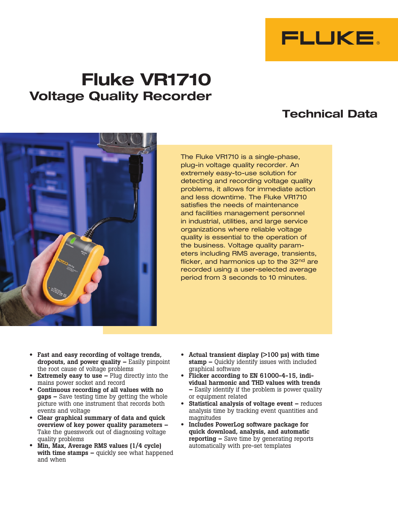

# **Fluke VR1710 Voltage Quality Recorder**

## **Technical Data**



The Fluke VR1710 is a single-phase, plug-in voltage quality recorder. An extremely easy-to-use solution for detecting and recording voltage quality problems, it allows for immediate action and less downtime. The Fluke VR1710 satisfies the needs of maintenance and facilities management personnel in industrial, utilities, and large service organizations where reliable voltage quality is essential to the operation of the business. Voltage quality parameters including RMS average, transients, flicker, and harmonics up to the 32<sup>nd</sup> are recorded using a user-selected average period from 3 seconds to 10 minutes.

- Fast and easy recording of voltage trends, dropouts, and power quality – Easily pinpoint the root cause of voltage problems
- **Extremely easy to use –** Plug directly into the mains power socket and record
- Continuous recording of all values with no gaps – Save testing time by getting the whole picture with one instrument that records both events and voltage
- Clear graphical summary of data and quick overview of key power quality parameters – Take the guesswork out of diagnosing voltage quality problems
- Min, Max, Average RMS values (1/4 cycle) with time stamps – quickly see what happened and when
- Actual transient display  $(>100 \text{ }\mu\text{s})$  with time stamp – Quickly identify issues with included graphical software
- Flicker according to EN 61000-4-15, individual harmonic and THD values with trends – Easily identify if the problem is power quality or equipment related
- Statistical analysis of voltage event reduces analysis time by tracking event quantities and magnitudes
- Includes PowerLog software package for quick download, analysis, and automatic reporting – Save time by generating reports automatically with pre-set templates